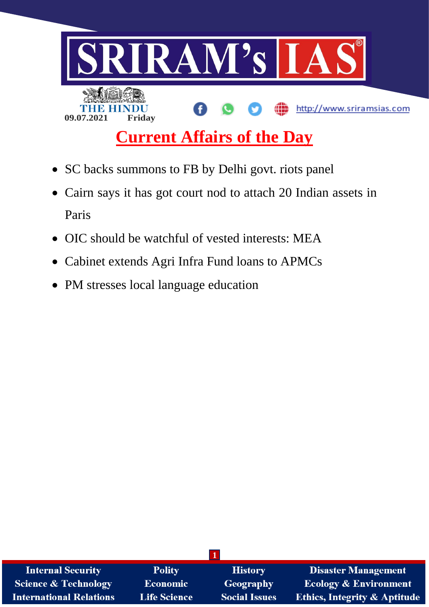

- SC backs summons to FB by Delhi govt. riots panel
- Cairn says it has got court nod to attach 20 Indian assets in Paris
- OIC should be watchful of vested interests: MEA
- Cabinet extends Agri Infra Fund loans to APMCs
- PM stresses local language education

| <b>Internal Security</b>        | <b>Polity</b>       | <b>History</b>       | <b>Disaster Management</b>              |
|---------------------------------|---------------------|----------------------|-----------------------------------------|
| <b>Science &amp; Technology</b> | <b>Economic</b>     | Geography            | <b>Ecology &amp; Environment</b>        |
| <b>International Relations</b>  | <b>Life Science</b> | <b>Social Issues</b> | <b>Ethics, Integrity &amp; Aptitude</b> |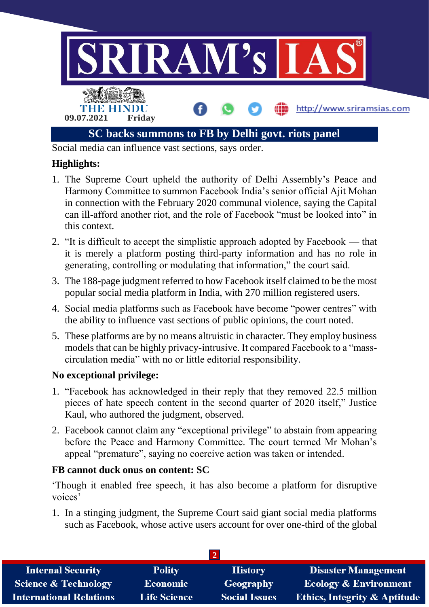

Social media can influence vast sections, says order.

## **Highlights:**

- 1. The Supreme Court upheld the authority of Delhi Assembly's Peace and Harmony Committee to summon Facebook India's senior official Ajit Mohan in connection with the February 2020 communal violence, saying the Capital can ill-afford another riot, and the role of Facebook "must be looked into" in this context.
- 2. "It is difficult to accept the simplistic approach adopted by Facebook that it is merely a platform posting third-party information and has no role in generating, controlling or modulating that information," the court said.
- 3. The 188-page judgment referred to how Facebook itself claimed to be the most popular social media platform in India, with 270 million registered users.
- 4. Social media platforms such as Facebook have become "power centres" with the ability to influence vast sections of public opinions, the court noted.
- 5. These platforms are by no means altruistic in character. They employ business models that can be highly privacy-intrusive. It compared Facebook to a "masscirculation media" with no or little editorial responsibility.

### **No exceptional privilege:**

- 1. "Facebook has acknowledged in their reply that they removed 22.5 million pieces of hate speech content in the second quarter of 2020 itself," Justice Kaul, who authored the judgment, observed.
- 2. Facebook cannot claim any "exceptional privilege" to abstain from appearing before the Peace and Harmony Committee. The court termed Mr Mohan's appeal "premature", saying no coercive action was taken or intended.

#### **FB cannot duck onus on content: SC**

'Though it enabled free speech, it has also become a platform for disruptive voices'

1. In a stinging judgment, the Supreme Court said giant social media platforms such as Facebook, whose active users account for over one-third of the global

| <b>Internal Security</b>        | <b>Polity</b>       | <b>History</b>       | <b>Disaster Management</b>              |  |
|---------------------------------|---------------------|----------------------|-----------------------------------------|--|
| <b>Science &amp; Technology</b> | <b>Economic</b>     | Geography            | <b>Ecology &amp; Environment</b>        |  |
| <b>International Relations</b>  | <b>Life Science</b> | <b>Social Issues</b> | <b>Ethics, Integrity &amp; Aptitude</b> |  |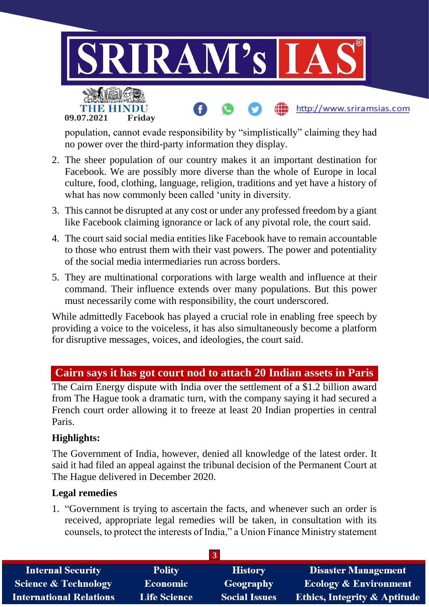

population, cannot evade responsibility by "simplistically" claiming they had no power over the third-party information they display.

- 2. The sheer population of our country makes it an important destination for Facebook. We are possibly more diverse than the whole of Europe in local culture, food, clothing, language, religion, traditions and yet have a history of what has now commonly been called 'unity in diversity.
- 3. This cannot be disrupted at any cost or under any professed freedom by a giant like Facebook claiming ignorance or lack of any pivotal role, the court said.
- 4. The court said social media entities like Facebook have to remain accountable to those who entrust them with their vast powers. The power and potentiality of the social media intermediaries run across borders.
- 5. They are multinational corporations with large wealth and influence at their command. Their influence extends over many populations. But this power must necessarily come with responsibility, the court underscored.

While admittedly Facebook has played a crucial role in enabling free speech by providing a voice to the voiceless, it has also simultaneously become a platform for disruptive messages, voices, and ideologies, the court said.

# **Cairn says it has got court nod to attach 20 Indian assets in Paris**

The Cairn Energy dispute with India over the settlement of a \$1.2 billion award from The Hague took a dramatic turn, with the company saying it had secured a French court order allowing it to freeze at least 20 Indian properties in central Paris.

### **Highlights:**

The Government of India, however, denied all knowledge of the latest order. It said it had filed an appeal against the tribunal decision of the Permanent Court at The Hague delivered in December 2020.

### **Legal remedies**

1. "Government is trying to ascertain the facts, and whenever such an order is received, appropriate legal remedies will be taken, in consultation with its counsels, to protect the interests of India," a Union Finance Ministry statement

| <b>Internal Security</b>        | <b>Polity</b>       | <b>History</b>       | <b>Disaster Management</b>              |
|---------------------------------|---------------------|----------------------|-----------------------------------------|
| <b>Science &amp; Technology</b> | <b>Economic</b>     | Geography            | <b>Ecology &amp; Environment</b>        |
| <b>International Relations</b>  | <b>Life Science</b> | <b>Social Issues</b> | <b>Ethics, Integrity &amp; Aptitude</b> |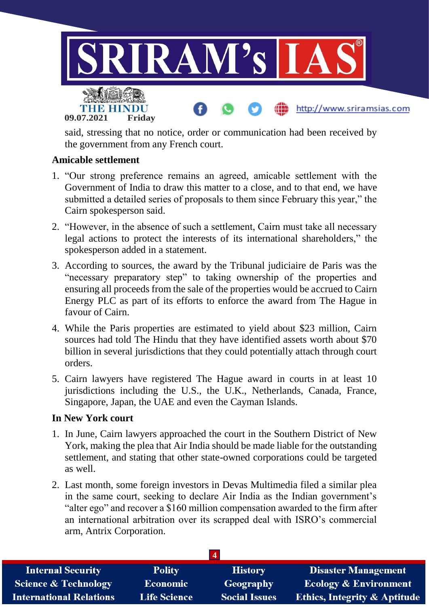

said, stressing that no notice, order or communication had been received by the government from any French court.

#### **Amicable settlement**

- 1. "Our strong preference remains an agreed, amicable settlement with the Government of India to draw this matter to a close, and to that end, we have submitted a detailed series of proposals to them since February this year," the Cairn spokesperson said.
- 2. "However, in the absence of such a settlement, Cairn must take all necessary legal actions to protect the interests of its international shareholders," the spokesperson added in a statement.
- 3. According to sources, the award by the Tribunal judiciaire de Paris was the "necessary preparatory step" to taking ownership of the properties and ensuring all proceeds from the sale of the properties would be accrued to Cairn Energy PLC as part of its efforts to enforce the award from The Hague in favour of Cairn.
- 4. While the Paris properties are estimated to yield about \$23 million, Cairn sources had told The Hindu that they have identified assets worth about \$70 billion in several jurisdictions that they could potentially attach through court orders.
- 5. Cairn lawyers have registered The Hague award in courts in at least 10 jurisdictions including the U.S., the U.K., Netherlands, Canada, France, Singapore, Japan, the UAE and even the Cayman Islands.

#### **In New York court**

- 1. In June, Cairn lawyers approached the court in the Southern District of New York, making the plea that Air India should be made liable for the outstanding settlement, and stating that other state-owned corporations could be targeted as well.
- 2. Last month, some foreign investors in Devas Multimedia filed a similar plea in the same court, seeking to declare Air India as the Indian government's "alter ego" and recover a \$160 million compensation awarded to the firm after an international arbitration over its scrapped deal with ISRO's commercial arm, Antrix Corporation.

| <b>Internal Security</b>        | <b>Polity</b>       | <b>History</b>       | <b>Disaster Management</b>              |  |
|---------------------------------|---------------------|----------------------|-----------------------------------------|--|
| <b>Science &amp; Technology</b> | Economic            | Geography            | <b>Ecology &amp; Environment</b>        |  |
| <b>International Relations</b>  | <b>Life Science</b> | <b>Social Issues</b> | <b>Ethics, Integrity &amp; Aptitude</b> |  |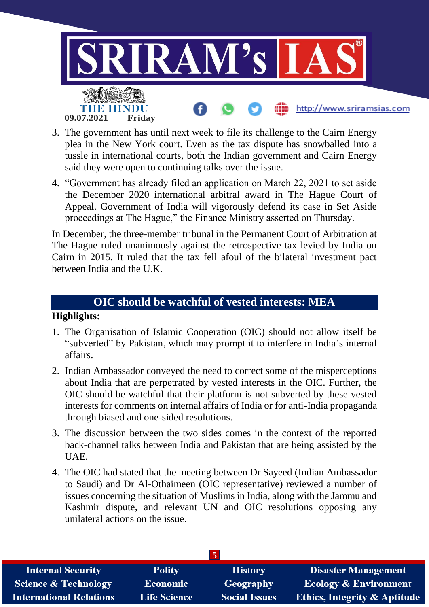

- 3. The government has until next week to file its challenge to the Cairn Energy plea in the New York court. Even as the tax dispute has snowballed into a tussle in international courts, both the Indian government and Cairn Energy said they were open to continuing talks over the issue.
- 4. "Government has already filed an application on March 22, 2021 to set aside the December 2020 international arbitral award in The Hague Court of Appeal. Government of India will vigorously defend its case in Set Aside proceedings at The Hague," the Finance Ministry asserted on Thursday.

In December, the three-member tribunal in the Permanent Court of Arbitration at The Hague ruled unanimously against the retrospective tax levied by India on Cairn in 2015. It ruled that the tax fell afoul of the bilateral investment pact between India and the U.K.

### **OIC should be watchful of vested interests: MEA**

#### **Highlights:**

- 1. The Organisation of Islamic Cooperation (OIC) should not allow itself be "subverted" by Pakistan, which may prompt it to interfere in India's internal affairs.
- 2. Indian Ambassador conveyed the need to correct some of the misperceptions about India that are perpetrated by vested interests in the OIC. Further, the OIC should be watchful that their platform is not subverted by these vested interests for comments on internal affairs of India or for anti-India propaganda through biased and one-sided resolutions.
- 3. The discussion between the two sides comes in the context of the reported back-channel talks between India and Pakistan that are being assisted by the UAE.
- 4. The OIC had stated that the meeting between Dr Sayeed (Indian Ambassador to Saudi) and Dr Al-Othaimeen (OIC representative) reviewed a number of issues concerning the situation of Muslims in India, along with the Jammu and Kashmir dispute, and relevant UN and OIC resolutions opposing any unilateral actions on the issue.

| <b>Internal Security</b>        | <b>Polity</b>       | <b>History</b>       | <b>Disaster Management</b>              |  |
|---------------------------------|---------------------|----------------------|-----------------------------------------|--|
| <b>Science &amp; Technology</b> | <b>Economic</b>     | Geography            | <b>Ecology &amp; Environment</b>        |  |
| <b>International Relations</b>  | <b>Life Science</b> | <b>Social Issues</b> | <b>Ethics, Integrity &amp; Aptitude</b> |  |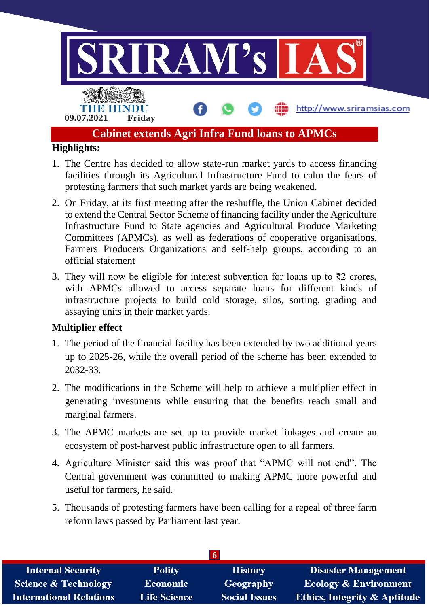

- 1. The Centre has decided to allow state-run market yards to access financing facilities through its Agricultural Infrastructure Fund to calm the fears of protesting farmers that such market yards are being weakened.
- 2. On Friday, at its first meeting after the reshuffle, the Union Cabinet decided to extend the Central Sector Scheme of financing facility under the Agriculture Infrastructure Fund to State agencies and Agricultural Produce Marketing Committees (APMCs), as well as federations of cooperative organisations, Farmers Producers Organizations and self-help groups, according to an official statement
- 3. They will now be eligible for interest subvention for loans up to ₹2 crores, with APMCs allowed to access separate loans for different kinds of infrastructure projects to build cold storage, silos, sorting, grading and assaying units in their market yards.

### **Multiplier effect**

- 1. The period of the financial facility has been extended by two additional years up to 2025-26, while the overall period of the scheme has been extended to 2032-33.
- 2. The modifications in the Scheme will help to achieve a multiplier effect in generating investments while ensuring that the benefits reach small and marginal farmers.
- 3. The APMC markets are set up to provide market linkages and create an ecosystem of post-harvest public infrastructure open to all farmers.
- 4. Agriculture Minister said this was proof that "APMC will not end". The Central government was committed to making APMC more powerful and useful for farmers, he said.
- 5. Thousands of protesting farmers have been calling for a repeal of three farm reform laws passed by Parliament last year.

| <b>Internal Security</b>        | <b>Polity</b>       | <b>History</b>       | <b>Disaster Management</b>              |  |
|---------------------------------|---------------------|----------------------|-----------------------------------------|--|
| <b>Science &amp; Technology</b> | Economic            | Geography            | <b>Ecology &amp; Environment</b>        |  |
| <b>International Relations</b>  | <b>Life Science</b> | <b>Social Issues</b> | <b>Ethics, Integrity &amp; Aptitude</b> |  |